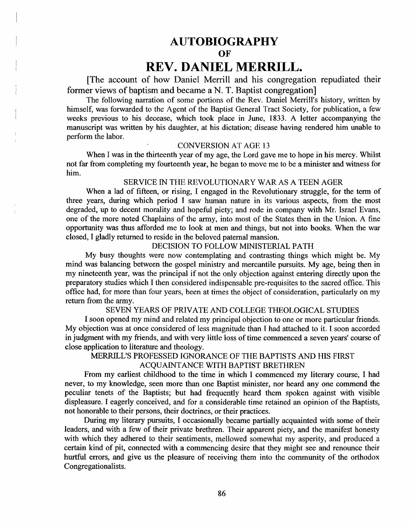# **AUTOBIOGRAPHY**

**OF** 

**REV. DANIEL MERRILL.** 

[The account of how Daniel Merrill and his congregation repudiated their former views of baptism and became a N. T. Baptist congregation

The following narration of some portions of the Rev. Daniel Merrill's history, written by himself, was forwarded to the Agent of the Baptist General Tract Society, for publication, a few weeks previous to his decease, which took place in June, 1833. A letter accompanying the manuscript was written by his daughter, at his dictation; disease having rendered him unable to perform the labor.

#### CONVERSION AT AGE 13

When I was in the thirteenth year of my age, the Lord gave me to hope in his mercy. Whilst not far from completing my fourteenth year, he began to move me to be a minister and witness for him.

#### SERVICE IN THE REVOLUTIONARY WAR AS A TEEN AGER

When a lad of fifteen, or rising, I engaged in the Revolutionary struggle, for the term of three years, during which period I saw human nature in its various aspects, from the most degraded, up to decent morality and hopeful piety; and rode in company with Mr. Israel Evans, one of the more noted Chaplains of the army, into most of the States then in the Union. A fine opportunity was thus afforded me to look at men and things, but not into books. When the war closed, I gladly returned to reside in the beloved paternal mansion.

### DECISION TO FOLLOW MINISTERIAL PATH

My busy thoughts were now contemplating and contrasting things which might be. My mind was balancing between the gospel ministry and mercantile pursuits. My age, being then in my nineteenth year, was the principal if not the only objection against entering directly upon the preparatory studies which I then considered indispensable pre-requisites to the sacred office. This office had, for more than four years, been at times the object of consideration, particularly on my return from the army.

### SEVEN YEARS OF PRIVATE AND COLLEGE THEOLOGICAL STUDIES

I soon opened my mind and related my principal objection to one or more particular friends. My objection was at once considered of less magnitude than I had attached to it. I soon accorded in judgment with my friends, and with very little loss of time commenced a seven years' course of close application to literature and theology.

# MERRILL'S PROFESSED IGNORANCE OF THE BAPTISTS AND HIS FIRST

#### ACQUAINTANCE WITH BAPTIST BRETHREN

From my earliest childhood to the time in which I commenced my literary course, I had never, to my knowledge, seen more than one Baptist minister, nor heard anyone commend the peculiar tenets of the Baptists; but had frequently heard them spoken against with visible displeasure. I eagerly conceived, and for a considerable time retained an opinion of the Baptists, not honorable to their persons, their doctrines, or their practices.

During my literary pursuits, I occasionally became partially acquainted with some of their leaders, and with a few of their private brethren. Their apparent piety, and the manifest honesty with which they adhered to their sentiments, mellowed somewhat my asperity, and produced a certain kind of pit, connected with a commencing desire that they might see and renounce their hurtful errors, and give us the pleasure of receiving them into the community of the orthodox Congregationalists.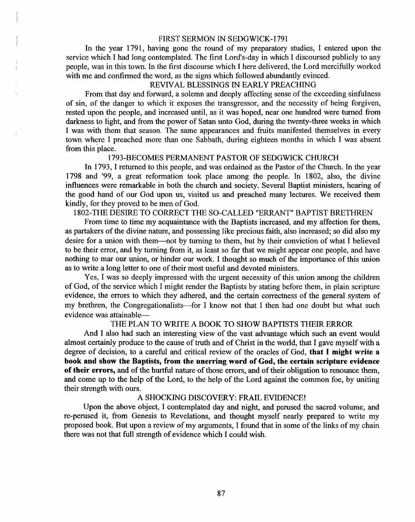## FIRST SERMON IN SEDGWICK-1791

In the year 1791, having gone the round of my preparatory studies, I entered upon the service which I had long contemplated. The first Lord's-day in which I discoursed publicly to any people, was in this town. In the first discourse which I here delivered, the Lord mercifully worked with me and confirmed the word, as the signs which followed abundantly evinced.

# REVIVAL BLESSINGS IN EARLY PREACHING

From that day and forward, a solemn and deeply affecting sense of the exceeding sinfulness of sin, of the danger to which it exposes the transgressor, and the necessity of being forgiven, rested upon the people, and increased until, as it was hoped, near one hundred were turned from darkness to light, and from the power of Satan unto God, during the twenty-three weeks in which I was with them that season. The same appearances and fruits manifested themselves in every town where I preached more than one Sabbath, during eighteen months in which I was absent from this place.

#### 1793-BECOMES PERMANENT PASTOR OF SEDGWICK CHURCH

In 1793, I returned to this people, and was ordained as the Pastor of the Church. In the year 1798 and '99, a great reformation took place among the people. In 1802, also, the divine influences were remarkable in both the church and society. Several Baptist ministers, hearing of the good hand of our God upon us, visited us and preached many lectures. We received them kindly, for they proved to be men of God.

# 1802-THE DESIRE TO CORRECT THE SO-CALLED "ERRANT" BAPTIST BRETHREN

From time to time my acquaintance with the Baptists increased, and my affection for them, as partakers of the divine nature, and possessing like precious faith, also increased; so did also my desire for a union with them—not by turning to them, but by their conviction of what I believed to be their error, and by turning from it, as least so far that we might appear one people, and have nothing to mar our union, or hinder our work. I thought so much of the importance of this union as to write a long letter to one of their most useful and devoted ministers.

Yes, I was so deeply impressed with the urgent necessity of this union among the children of God, of the service which I might render the Baptists by stating before them, in plain scripture evidence, the errors to which they adhered, and the certain correctness of the general system of my brethren, the Congregationalists—for I know not that I then had one doubt but what such evidence was attainable----

# THE PLAN TO WRITE A BOOK TO SHOW BAPTISTS THEIR ERROR

And I also had such an interesting view of the vast advantage which such an event would almost certainly produce to the cause of truth and of Christ in the world, that I gave myself with a degree of decision, to a careful and critical review of the oracles of God, that I might write a book and sbow the Baptists, from the unerring word of God, the certain scripture evidence of their errors, and of the hurtful nature of those errors, and of their obligation to renounce them, and come up to the help of the Lord, to the help of the Lord against the common foe, by uniting their strength with ours.

# A SHOCKING DISCOVERY: FRAIL EVIDENCE!

Upon the above object, I contemplated day and night, and perused the sacred volume, and re-perused it, from Genesis to Revelations, and thought myself nearly prepared to write my proposed book. But upon a review of my arguments, I found that in some of the links of my chain there was not that full strength of evidence which I could wish.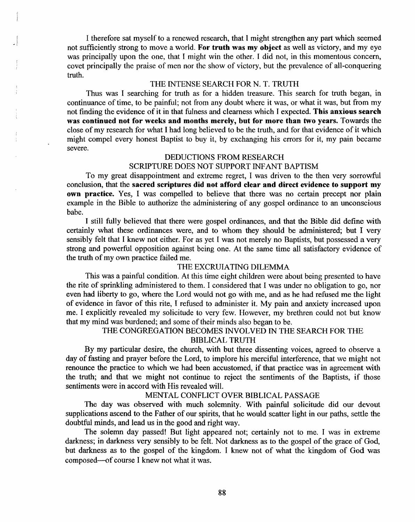I therefore sat myself to a renewed research, that I might strengthen any part which seemed not sufficiently strong to move a world. For truth was my object as well as victory, and my eye was principally upon the one, that I might win the other. I did not, in this momentous concern, covet principally the praise of men nor the show of victory, but the prevalence of all-conquering truth.

### THE INTENSE SEARCH FOR N. T. TRUTH

Thus was I searching for truth as for a hidden treasure. This search for truth began, in continuance of time, to be painful; not from any doubt where it was, or what it was, but from my not finding the evidence of it in that fulness and clearness which I expected. This anxious search was continued not for weeks and montbs merely, but for more than two years. Towards the close of my research for what I had long believed to be the truth, and for that evidence of it which might compel every honest Baptist to buy it, by exchanging his errors for it, my pain became severe.

# DEDUCTIONS FROM RESEARCH SCRIPTURE DOES NOT SUPPORT INFANT BAPTISM

To my great disappointment and extreme regret, I was driven to the then very sorrowful conclusion, that the sacred scriptures did not afford clear and direct evidence to support my own practice. Yes, I was compelled to believe that there was no certain precept nor plain example in the Bible to authorize the administering of any gospel ordinance to an unconscious babe.

I still fully believed that there were gospel ordinances, and that the Bible did define with certainly what these ordinances were, and to whom they should be administered; but I very sensibly felt that I knew not either. For as yet I was not merely no Baptists, but possessed a very strong and powerful opposition against being one. At the same time all satisfactory evidence of the truth of my own practice failed me.

### THE EXCRUIATING DILEMMA

This was a painful condition. At this time eight children were about being presented to have the rite of sprinkling administered to them. I considered that I was under no obligation to go, nor even had liberty to go, where the Lord would not go with me, and as he had refused me the light of evidence in favor of this rite, I refused to administer it My pain and anxiety increased upon me. I explicitly revealed my solicitude to very few. However, my brethren could not but know that my mind was burdened; and some of their minds also began to be.

### THE CONGREGATION BECOMES INVOLVED IN THE SEARCH FOR THE BIBLICAL TRUTH

By my particular desire, the church, with but three dissenting voices, agreed to observe a day of fasting and prayer before the Lord, to implore his merciful interference, that we might not renounce the practice to which we had been accustomed, if that practice was in agreement with the truth; and that we might not continue to reject the sentiments of the Baptists, if those sentiments were in accord with His revealed will.

#### MENTAL CONFLICT OVER BIBLICAL PASSAGE

The day was observed with much solemnity. With painful solicitude did our devout supplications ascend to the Father of our spirits, that he would scatter light in our paths, settle the doubtful minds, and lead us in the good and right way.

The solemn day passed! But light appeared not; certainly not to me. I was in extreme darkness; in darkness very sensibly to be felt. Not darkness as to the gospel of the grace of God, but darkness as to the gospel of the kingdom. I knew not of what the kingdom of God was composed--of course I knew not what it was.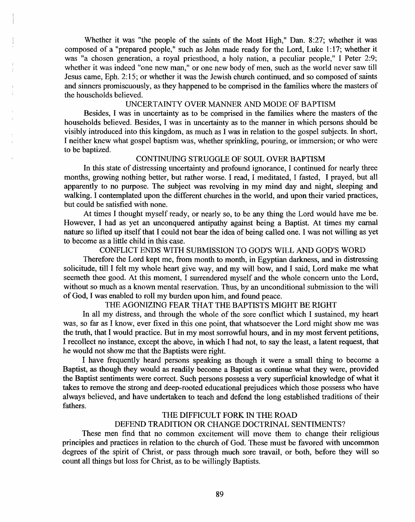Whether it was "the people of the saints of the Most High," Dan. 8:27; whether it was composed of a "prepared people," such as John made ready for the Lord, Luke 1:17; whether it was "a chosen generation, a royal priesthood, a holy nation, a peculiar people," I Peter 2:9; whether it was indeed "one new man," or one new body of men, such as the world never saw till Jesus came, Eph. 2:15; or whether it was the Jewish church continued, and so composed of saints and sinners promiscuously, as they happened to be comprised in the families where the masters of the households believed.

#### UNCERTAINTY OVER MANNER AND MODE OF BAPTISM

Besides, I was in uncertainty as to be comprised in the families where the masters of the households believed. Besides, I was in uncertainty as to the manner in which persons should be visibly introduced into this kingdom, as much as I was in relation to the gospel subjects. In short, I neither knew what gospel baptism was, whether sprinkling, pouring, or immersion; or who were to be baptized.

#### CONTINUING STRUGGLE OF SOUL OVER BAPTISM

In this state of distressing uncertainty and profound ignorance, I continued for nearly three months, growing nothing better, but rather worse. I read, I meditated, I fasted, I prayed, but all apparently to no purpose. The subject was revolving in my mind day and night, sleeping and walking. I contemplated upon the different churches in the world, and upon their varied practices, but could be satisfied with none.

At times I thought myself ready, or nearly so, to be any thing the Lord would have me be. However, I had as yet an unconquered antipathy against being a Baptist. At times my carnal nature so lifted up itself that I could not bear the idea of being called one. I was not willing as yet to become as a little child in this case.

#### CONFLICT ENDS WITH SUBMISSION TO GOD'S WILL AND GOD'S WORD

Therefore the Lord kept me, from month to month, in Egyptian darkness, and in distressing solicitude, till I felt my whole heart give way, and my will bow, and I said, Lord make me what seemeth thee good. At this moment, I surrendered myself and the whole concern unto the Lord, without so much as a known mental reservation. Thus, by an unconditional submission to the will of God, I was enabled to roll my burden upon him, and found peace.

#### THE AGONIZING FEAR THAT THE BAPTISTS MIGHT BE RIGHT

In all my distress, and through the whole of the sore conflict which I sustained, my heart was, so far as I know, ever fixed in this one point, that whatsoever the Lord might show me was the truth, that I would practice. But in my most sorrowful hours, and in my most fervent petitions, I recollect no instance, except the above, in which I had not, to say the least, a latent request, that he would not show me that the Baptists were right.

I have frequently heard persons speaking as though it were a small thing to become a Baptist, as though they would as readily become a Baptist as continue what they were, provided the Baptist sentiments were correct. Such persons possess a very superficial knowledge of what it takes to remove the strong and deep-rooted educational prejudices which those possess who have always believed, and have undertaken to teach and defend the long established traditions of their fathers.

#### THE DIFFICULT FORK IN THE ROAD

# DEFEND TRADITION OR CHANGE DOCTRINAL SENTIMENTS?

These men find that no common excitement will move them to change their religious principles and practices in relation to the church of God. These must be favored with uncommon degrees of the spirit of Christ, or pass through much sore travail, or both, before they will so count all things but loss for Christ, as to be willingly Baptists.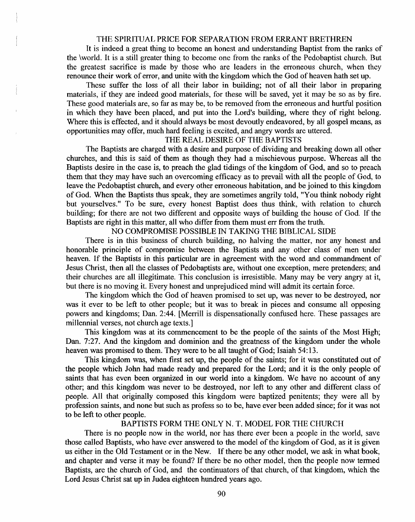#### THE SPIRITUAL PRICE FOR SEPARATION FROM ERRANT BRETHREN

It is indeed a great thing to become an honest and understanding Baptist from the ranks of the \world. It is a still greater thing to become one from the ranks of the Pedobaptist church. But the greatest sacrifice is made by those who are leaders in the erroneous church, when they renounce their work of error, and unite with the kingdom which the God of heaven hath set up.

These suffer the loss of all their labor in building; not of all their labor in preparing materials, if they are indeed good materials, for these will be saved, yet it may be so as by fire. These good materials are, so far as may be, to be removed from the erroneous and hurtful position in which they have been placed, and put into the Lord's building, where they of right belong. Where this is effected, and it should always be most devoutly endeavored, by all gospel means, as opportunities may offer, much hard feeling is excited, and angry words are uttered.

# THE REAL DESIRE OF THE BAPTISTS

The Baptists are charged with a desire and purpose of dividing and breaking down all other churches, and this is said of them as though they had a mischievous purpose. Whereas all the Baptists desire in the case is, to preach the glad tidings of the kingdom of God, and so to preach them that they may have such an overcoming efficacy as to prevail with all the people of God, to leave the Pedobaptist church, and every other erroneous habitation, and be joined to this kingdom of God. When the Baptists thus speak, they are sometimes angrily told, "You think nobody right but yourselves." To be sure, every honest Baptist does thus think, with relation to church building; for there are not two different and opposite ways of building the house of God. If the Baptists are right in this matter, all who differ from them must err from the truth.

## NO COMPROMISE POSSIBLE IN TAKING THE BIBLICAL SIDE

There is in this business of church building, no halving the matter, nor any honest and honorable principle of compromise between the Baptists and any other class of men under heaven. If the Baptists in this particular are in agreement with the word and commandment of Jesus Christ, then all the classes of Pedobaptists are, without one exception, mere pretenders; and their churches are all illegitimate. This conclusion is irresistible. Many may be very angry at it, but there is no moving it. Every honest and unprejudiced mind will admit its certain force.

The kingdom which the God of heaven promised to set up, was never to be destroyed, nor was it ever to be left to other people; but it was to break in pieces and consume all opposing powers and kingdoms; Dan. 2:44. [Merrill is dispensationally confused here. These passages are millennial verses, not church age texts.]

This kingdom was at its commencement to be the people of the saints of the Most High; Dan. 7:27. And the kingdom and dominion and the greatness of the kingdom under the whole heaven was promised to them. They were to be all taught of God; Isaiah 54: 13.

This kingdom was, when first set up, the people of the saints; for it was constituted out of the people which John had made ready and prepared for the Lord; and it is the only people of saints that has even been organized in our world into a kingdom. We have no account of any other; and this kingdom was never to be destroyed, nor left to any other and different class of people. All that originally composed this kingdom were baptized penitents; they were all by profession saints, and none but such as profess so to be, have ever been added since; for it was not to be left to other people.

#### BAPTISTS FORM THE ONLY N. T. MODEL FOR THE CHURCH

There is no people now in the world, nor has there ever been a people in the world, save those called Baptists, who have ever answered to the model of the kingdom of God, as it is given us either in the Old Testament or in the New. If there be any other model, we ask in what book, and chapter and verse it may be found? If there be no other model, then the people now termed Baptists, are the church of God, and the continuators of that church, of that kingdom, which the Lord Jesus Christ sat up in Judea eighteen hundred years ago.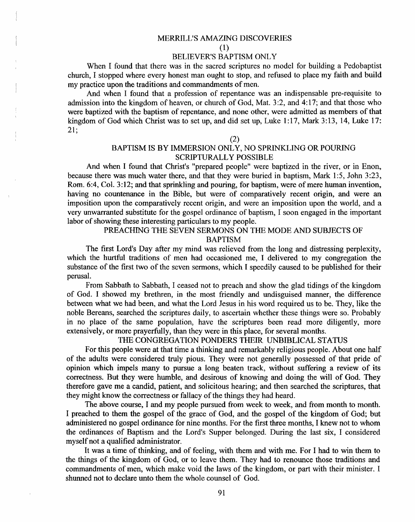#### MERRlLL'S AMAZING DISCOVERIES

(1)

#### BELIEVER'S BAPTISM ONLY

When I found that there was in the sacred scriptures no model for building a Pedobaptist church, I stopped where every honest man ought to stop, and refused to place my faith and build my practice upon the traditions and commandments of men.

And when I found that a profession of repentance was an indispensable pre-requisite to admission into the kingdom of heaven, or church of God, Mat. 3 :2, and 4: 17; and that those who were baptized with the baptism of repentance, and none other, were admitted as members of that kingdom of God which Christ was to set up, and did set up, Luke 1:17, Mark 3:13, 14, Luke 17: 21;

(2)

# BAPTISM IS BY IMMERSION ONLY, NO SPRINKLING OR POURING SCRIPTURALLY POSSIBLE

And when I found that Christ's "prepared people" were baptized in the river, or in Enon, because there was much water there, and that they were buried in baptism, Mark 1 :5, John 3:23, Rom. 6:4, Col. 3:12; and that sprinkling and pouring, for baptism, were of mere human invention, having no countenance in the Bible, but were of comparatively recent origin, and were an imposition upon the comparatively recent origin, and were an imposition upon the world, and a very unwarranted substitute for the gospel ordinance of baptism, I soon engaged in the important labor of showing these interesting particulars to my people.

#### PREACHING THE SEVEN SERMONS ON THE MODE AND SUBJECTS OF BAPTISM

The first Lord's Day after my mind was relieved from the long and distressing perplexity, which the hurtful traditions of men had occasioned me, I delivered to my congregation the substance of the first two of the seven sermons, which I speedily caused to be published for their perusal.

From Sabbath to Sabbath, I ceased not to preach and show the glad tidings of the kingdom of God. I showed my brethren, in the most friendly and undisguised manner, the difference between what we had been, and what the Lord Jesus in his word required us to be. They, like the noble Bereans, searched the scriptures daily, to ascertain whether these things were so. Probably in no place of the same population, have the scriptures been read more diligently, more extensively, or more prayerfully, than they were in this place, for several months.

# THE CONGREGATION PONDERS THEIR UNBIBLICAL STATUS

For this people were at that time a thinking and remarkably religious people. About one half of the adults were considered truly pious. They were not generally possessed of that pride of opinion which impels many to pursue a long beaten track, without suffering a review of its correctness. But they were humble, and desirous of knowing and doing the will of God. They therefore gave me a candid, patient, and solicitous hearing; and then searched the scriptures, that they might know the correctness or fallacy of the things they had heard.

The above course, I and my people pursued from week to week, and from month to month. I preached to them the gospel of the grace of God, and the gospel of the kingdom of God; but administered no gospel ordinance for nine months. For the first three months, I knew not to whom the ordinances of Baptism and the Lord's Supper belonged. During the last six, I considered myself not a qualified administrator.

It was a time of thinking, and of feeling, with them and with me. For I had to win them to the things of the kingdom of God, or to leave them. They had to renounce those traditions and commandments of men, which make void the laws of the kingdom, or part with their minister. I shwmed not to declare unto them the whole counsel of God.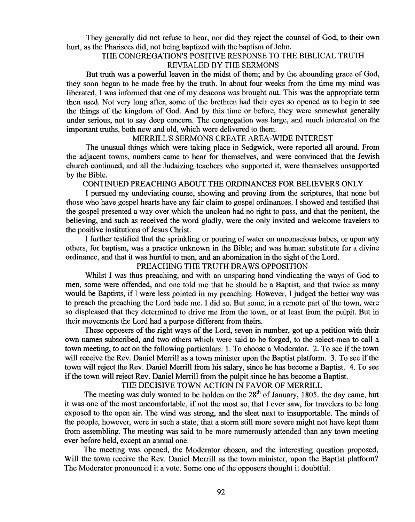They generally did not refuse to hear, nor did they reject the counsel of God, to their own hurt, as the Pharisees did, not being baptized with the baptism of John.

# THE CONGREGATION'S POSITIVE RESPONSE TO THE BIBLICAL TRUTH REVEALED BY THE SERMONS

But truth was a powerful leaven in the midst of them; and by the abounding grace of God, they soon began to be made free by the truth.. In about four weeks from the time my mind was liberated, I was informed that one of my deacons was brought out. This was the appropriate term then used. Not very long after, some of the brethren had their eyes so opened as to begin to see the things of the kingdom of God. And by this time or before, they were somewhat generally under serious, not to say deep concern. The congregation was large, and much interested on the important truths, both new and old, which were delivered to them.

## MERRILL'S SERMONS CREATE AREA-WIDE INTEREST

The unusual things which were taking place in Sedgwick, were reported all around. From the adjacent towns, numbers came to hear for themselves, and were convinced that the Jewish church continued, and all the Judaizing teachers who supported it, were themselves unsupported by the Bible.

CONTINUED PREACHING ABOUT THE ORDINANCES FOR BELIEVERS ONLY

I pursued my undeviating course, showing and proving from the scriptures, that none but those who have gospel hearts have any fair claim to gospel ordinances. I showed and testified that the gospel presented a way over which the undean had no right to pass, and that the penitent, the believing, and such as received the word gladly, were the only invited and welcome travelers to the positive institutions of Jesus Christ.

I further testified that the sprinkling or pouring of water on unconscious babes, or upon any others, for baptism, was a practice unknown in the Bible; and was human substitute for a divine ordinance, and that it was hurtful to men, and an abomination in the sight of the Lord.

### PREACHING THE TRUTH DRAWS OPPOSITION

Whilst I was thus preaching, and with an unsparing hand vindicating the ways of God to men, some were offended, and one told me that he should be a Baptist, and that twice as many would be Baptists, if I were less pointed in my preaching. However, I judged the better way was to preach the preaching the Lord bade me. I did so. But some, in a remote part of the town, were so displeased that they determined to drive me from the town, or at least from the pulpit. But in their movements the Lord had a purpose different from theirs.

These opposers of the right ways of the Lord, seven in number, got up a petition with their own names subscribed, and two others which were said to be forged, to the select-men to call a town meeting, to act on the following particulars: 1. To choose a Moderator. 2. To see if the town will receive the Rev. Daniel Merrill as a town minister upon the Baptist platform. 3. To see if the town will reject the Rev. Daniel Merrill from his salary, since he has become a Baptist. 4. To see if the town will reject Rev. Daniel Merrill from the pulpit since he has become a Baptist.

THE DECISIVE TOWN ACTION IN FAVOR OF MERRILL

The meeting was duly warned to be holden on the  $28<sup>th</sup>$  of January, 1805, the day came, but it was one of the most uncomfortable, if not the most so, that I ever saw, for travelers to be long exposed to the open air. The wind was strong, and the sleet next to insupportable. The minds of the people, however, were in such a state, that a storm still more severe might not have kept them from assembling. The meeting was said to be more numerously attended than any town meeting ever before held, except an annual one.

The meeting was opened, the Moderator chosen, and the interesting question proposed, Will the town receive the Rev. Daniel Merrill as the town minister, upon the Baptist platform? The Moderator pronounced it a vote. Some one of the opposers thought it doubtful.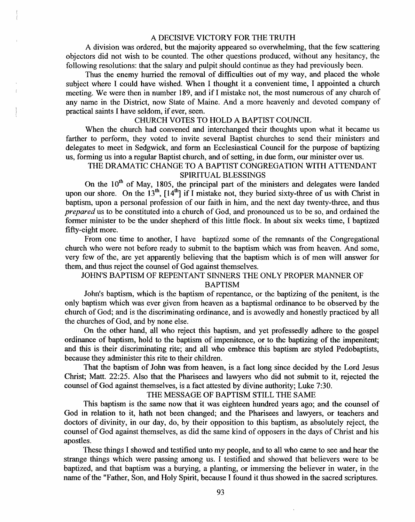#### A DECISIVE VICTORY FOR THE TRUTH

A division was ordered, but the majority appeared so overwhelming, that the few scattering objectors did not wish to be counted. The other questions produced, without any hesitancy, the following resolutions: that the salary and pulpit should continue as they had previously been.

Thus the enemy hurried the removal of difficulties out of my way, and placed the whole subject where I could have wished. When I thought it a convenient time, I appointed a church meeting. We were then in number 189, and if I mistake not, the most numerous of any church of any name in the District, now State of Maine. And a more heavenly and devoted company of practical saints I have seldom, if ever, seen.

## CHURCH VOTES TO HOLD A BAPTIST COUNCIL

When the church had convened and interchanged their thoughts upon what it became us farther to perform, they voted to invite several Baptist churches to send their ministers and delegates to meet in Sedgwick, and form an Ecclesiastical Council for the purpose of baptizing us, forming us into a regular Baptist church, and of setting, in due form, our minister over us.

# THE DRAMATIC CHANGE TO A BAPTIST CONGREGATION WITH ATTENDANT SPIRITUAL BLESSINGS

On the  $10^{th}$  of May, 1805, the principal part of the ministers and delegates were landed upon our shore. On the 13<sup>th</sup>,  $[14^{th}]$  if I mistake not, they buried sixty-three of us with Christ in baptism, upon a personal profession of our faith in him, and the next day twenty-three, and thus *prepared* us to be constituted into a church of God, and pronounced us to be so, and ordained the former minister to be the under shepherd of this little flock. In about six weeks time, I baptized fifty-eight more.

From one time to another, I have baptized some of the remnants of the Congregational church who were not before ready to submit to the baptism which was from heaven. And some, very few of the, are yet apparently believing that the baptism which is of men will answer for them, and thus reject the counsel of God against themselves.

#### JOHN'S BAPTISM OF REPENTANT SINNERS THE ONLY PROPER MANNER OF BAPTISM

John's baptism, which is the baptism of repentance, or the baptizing of the penitent, is the only baptism which was ever given from heaven as a baptismal ordinance to be observed by the church of God; and is the discriminating ordinance, and is avowedly and honestly practiced by all the churches of God, and by none else.

On the other hand, all who reject this baptism, and yet professedly adhere to the gospel ordinance of baptism, hold to the baptism of impenitence, or to the baptizing of the impenitent; and this is their discriminating rite; and all who embrace this baptism are styled Pedobaptists, because they administer this rite to their children.

That the baptism of John was from heaven, is a fact long since decided by the Lord Jesus Christ; Matt. 22:25. Also that the Pharisees and lawyers who did not submit to it, rejected the counsel of God against themselves, is a fact attested by divine authority; Luke 7:30.

#### THE MESSAGE OF BAPTISM STILL THE SAME

This baptism is the same now that it was eighteen hundred years ago; and the counsel of God in relation to it, hath not been changed; and the Pharisees and lawyers, or teachers and doctors of divinity, in our day, do, by their opposition to this baptism, as absolutely reject, the counsel of God against themselves, as did the same kind of opposers in the days of Christ and his apostles.

These things I showed and testified unto my people, and to all who came to see and hear the strange things which were passing among us. I testified and showed that believers were to be baptized, and that baptism was a burying, a planting, or immersing the believer in water, in the name of the "Father, Son, and Holy Spirit, because I found it thus showed in the sacred scriptures.